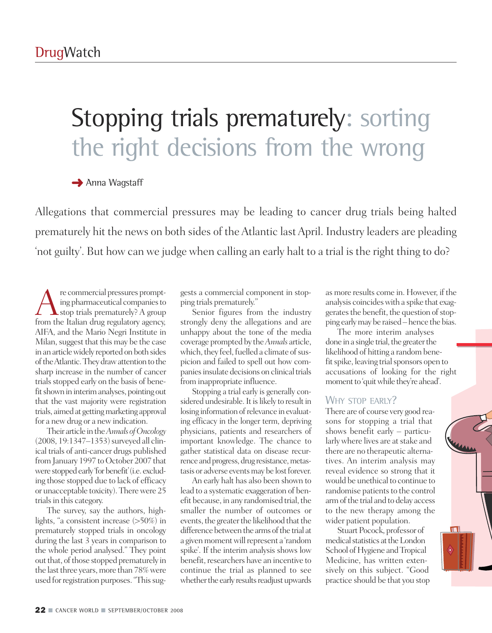# Stopping trials prematurely: sorting the right decisions from the wrong

### **→** Anna Wagstaff

Allegations that commercial pressures may be leading to cancer drug trials being halted prematurely hit the news on both sides of the Atlantic last April. Industry leaders are pleading 'not guilty'. But how can we judge when calling an early halt to a trial is the right thing to do?

re commercial pressures prompt-<br>ing pharmaceutical companies to<br>from the Italian drug regulatory agency ing pharmaceutical companies to stop trials prematurely? A group from the Italian drug regulatory agency, AIFA, and the Mario Negri Institute in Milan, suggest that this may be the case in an article widely reported on both sides of the Atlantic. They draw attention to the sharp increase in the number of cancer trials stopped early on the basis of benefit shown in interim analyses, pointing out that the vast majority were registration trials, aimed at getting marketing approval for a new drug or a new indication.

Their article inthe*Annals ofOncology* (2008, 19:1347–1353) surveyed all clinical trials of anti-cancer drugs published from January 1997 to October 2007 that were stopped early 'for benefit' (i.e. excluding those stopped due to lack of efficacy or unacceptable toxicity).Therewere 25 trials in this category.

The survey, say the authors, highlights, "a consistent increase (>50%) in prematurely stopped trials in oncology during the last 3 years in comparison to the whole period analysed." They point out that, of those stopped prematurely in the last three years, more than 78% were used for registration purposes. "This suggests a commercial component in stopping trials prematurely."

Senior figures from the industry strongly deny the allegations and are unhappy about the tone of the media coverage prompted by the*Annals* article, which, they feel, fuelled a climate of suspicion and failed to spell out how companies insulate decisions on clinical trials from inappropriate influence.

Stopping a trial early is generally considered undesirable. It is likely to result in losing information of relevance in evaluating efficacy in the longer term, depriving physicians, patients and researchers of important knowledge. The chance to gather statistical data on disease recurrence and progress, drug resistance, metastasis or adverse events may be lost forever.

An early halt has also been shown to lead to a systematic exaggeration of benefit because, in any randomised trial, the smaller the number of outcomes or events, the greater the likelihood that the difference between the arms of the trial at a given moment will represent a 'random spike'. If the interim analysis shows low benefit, researchers have an incentive to continue the trial as planned to see whether the early results readjust upwards

as more results come in. However, if the analysis coincideswith a spike that exaggerates the benefit, the question of stopping earlymay be raised –hence the bias.

The more interim analyses done in a single trial, the greater the likelihood of hitting a random benefit spike, leaving trial sponsors open to accusations of looking for the right moment to 'quit while they're ahead'.

#### WHY STOP EARLY?

There are of course very good reasons for stopping a trial that shows benefit early – particularly where lives are at stake and there are no therapeutic alternatives. An interim analysis may reveal evidence so strong that it would be unethical to continue to randomise patients to the control arm of the trial and to delay access to the new therapy among the wider patient population.

Stuart Pocock, professor of medical statistics at the London School of Hygiene and Tropical Medicine, has written extensively on this subject. "Good practice should be that you stop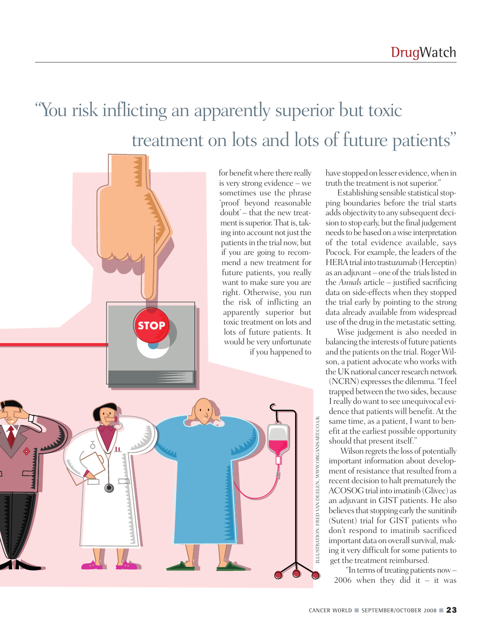### "You risk inflicting an apparently superior but toxic treatment on lots and lots of future patients "

for benefit where there really is very strong evidence – we sometimes use the phrase 'proof beyond reasonable doubt' – that the new treatment is superior. That is, taking into account not just the patients in the trial now, but if you are going to recommend a new treatment for future patients, you really want to make sure you are right. Otherwise, you run the risk of inflicting an apparently superior but toxic treatment on lots and lots of future patients. It would be very unfortunate if you happened to



**STOP** 

have stopped on lesser evidence, when in truth the treatment is not superior."

Establishing sensible statistical stopping boundaries before the trial starts adds objectivity to any subsequent decision to stop early, but the final judgement needs to be based on a wise interpretation of the total evidence available, says Pocock. For example, the leaders of the HERAtrial into trastuzumab (Herceptin) as an adjuvant – one of the trials listed in the *Annals* article – justified sacrificing data on side-effects when they stopped the trial early by pointing to the strong data already available from widespread use of the drug in the metastatic setting.

Wise judgement is also needed in balancing the interests of future patients and the patients on the trial. Roger Wilson, a patient advocate who works with the UK national cancer research network

(NCRN) expresses the dilemma. "I feel trapped between the two sides, because Ireally dowant to see unequivocal evidence that patients will benefit.At the same time, as a patient, I want to benefit at the earliest possible opportunity should that present itself."

Wilson regrets the loss of potentially important information about development of resistance that resulted from a recent decision to halt prematurely the ACOSOG trial into imatinib (Glivec) as an adjuvant in GIST patients. He also believes that stopping early the sunitinib (Sutent) trial for GIST patients who don't respond to imatinib sacrificed important data on overall survival, making it very difficult for some patients to get the treatment reimbursed.

"In terms of treating patients now -2006 when they did it  $-$  it was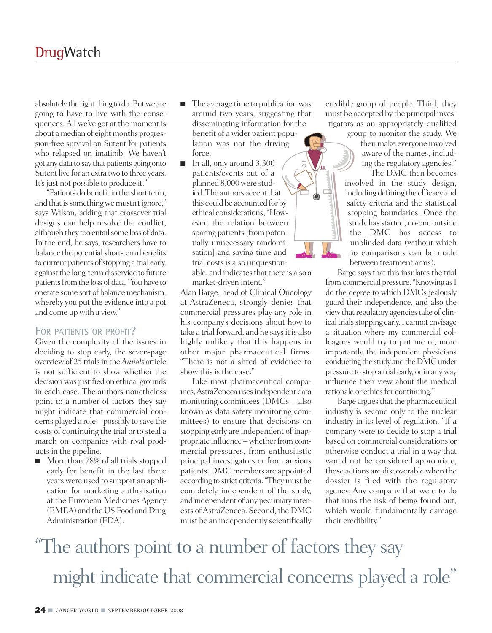absolutely the right thing to do. But we are going to have to live with the consequences.All we've got at the moment is about a median of eight months progression-free survival on Sutent for patients who relapsed on imatinib. We haven't got any data to say that patients going onto Sutent live for an extra two to three years. It's just not possible to produce it."

"Patients do benefit in the short term, and that is something we mustn't ignore," says Wilson, adding that crossover trial designs can help resolve the conflict, although they too entail some loss of data. In the end, he says, researchers have to balance the potential short-term benefits to current patients of stopping a trial early, against the long-term disservice to future patients from the loss of data. "You have to operate some sort of balance mechanism, whereby you put the evidence into a pot and come up with a view."

#### FOR PATIENTS OR PROFIT?

Given the complexity of the issues in deciding to stop early, the seven-page overviewof 25 trialsin the*Annals* article is not sufficient to show whether the decision was justified on ethical grounds in each case. The authors nonetheless point to a number of factors they say might indicate that commercial concerns played a role – possibly to save the costs of continuing the trial or to steal a march on companies with rival products in the pipeline.

■ More than 78% of all trials stopped early for benefit in the last three years were used to support an application for marketing authorisation at the European Medicines Agency (EMEA) and the US Food and Drug Administration (FDA).

- The average time to publication was around two years, suggesting that disseminating information for the benefit of a wider patient population was not the driving force.
- In all, only around 3,300 patients/events out of a planned 8,000were studied. The authors accept that this could be accounted for by ethical considerations,"However, the relation between sparing patients [from potentially unnecessary randomisation] and saving time and trial costs is also unquestionable, and indicates that there is also a market-driven intent."

Alan Barge, head of Clinical Oncology at AstraZeneca, strongly denies that commercial pressures play any role in his company's decisions about how to take a trial forward, and he says it is also highly unlikely that this happens in other major pharmaceutical firms. "There is not a shred of evidence to show this is the case."

Like most pharmaceutical companies,AstraZeneca usesindependent data monitoring committees (DMCs – also known as data safety monitoring committees) to ensure that decisions on stopping early are independent of inappropriate influence – whether from commercial pressures, from enthusiastic principal investigators or from anxious patients. DMC members are appointed according to strict criteria."Theymust be completely independent of the study, and independent of any pecuniary interests ofAstraZeneca. Second, the DMC must be an independently scientifically

credible group of people. Third, they must be accepted by the principal investigators as an appropriately qualified

> group to monitor the study. We then make everyone involved aware of the names, including the regulatory agencies."

The DMC then becomes involved in the study design, including defining the efficacy and safety criteria and the statistical stopping boundaries. Once the study has started, no-one outside the DMC has access to unblinded data (without which no comparisons can be made between treatment arms).

Barge says that this insulates the trial from commercial pressure. "Knowing as I do the degree to which DMCs jealously guard their independence, and also the view that regulatory agencies take of clinical trials stopping early, I cannot envisage a situation where my commercial colleagues would try to put me or, more importantly, the independent physicians conducting the study and the DMC under pressure to stop a trial early, or in any way influence their view about the medical rationale or ethics for continuing."

Barge argues that the pharmaceutical industry is second only to the nuclear industry in its level of regulation. "If a company were to decide to stop a trial based on commercial considerations or otherwise conduct a trial in a way that would not be considered appropriate, those actions are discoverablewhen the dossier is filed with the regulatory agency. Any company that were to do that runs the risk of being found out, which would fundamentally damage their credibility."

### "The authors point to a number of factors they say might indicate that commercial concerns played a role "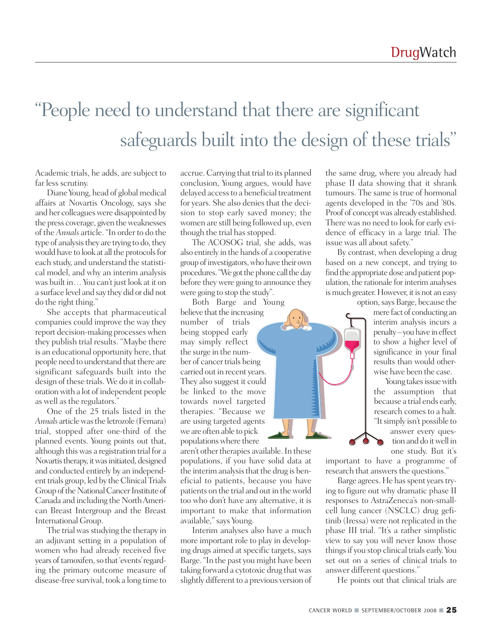### "People need to understand that there are significant safeguards built into the design of these trials "

Academic trials, he adds, are subject to far less scrutiny.

Diane Young, head of global medical affairs at Novartis Oncology, says she and her colleagues were disappointed by the press coverage, given theweaknesses of the *Annals* article. "In order to do the type of analysis they are trying to do, they would have to look at all the protocols for each study, and understand the statistical model, and why an interim analysis was built in…You can't just look at it on a surface level and say they did or did not do the right thing."

She accepts that pharmaceutical companies could improve the way they report decision-making processeswhen they publish trial results. "Maybe there is an educational opportunity here, that people need to understand that there are significant safeguards built into the design of these trials.We do it in collaboration with a lot of independent people as well as the regulators."

One of the 25 trials listed in the *Annals* article was the letrozole (Femara) trial, stopped after one-third of the planned events. Young points out that, although thiswas a registration trial for a Novartis therapy, it was initiated, designed and conducted entirely by an independent trials group, led by the Clinical Trials Group of the National Cancer Institute of Canada and including the North American Breast Intergroup and the Breast International Group.

The trial was studying the therapy in an adjuvant setting in a population of women who had already received five years of tamoxifen, so that 'events' regarding the primary outcome measure of disease-free survival, took a long time to

accrue. Carrying that trial to its planned conclusion, Young argues, would have delayed access to a beneficial treatment for years. She also denies that the decision to stop early saved money; the women are still being followed up, even though the trial has stopped.

The ACOSOG trial, she adds, was also entirely in the hands of a cooperative group of investigators, who have their own procedures. "We got the phone call the day before they were going to announce they were going to stop the study".

Both Barge and Young believe that the increasing number of trials being stopped early may simply reflect the surge in the number of cancer trials being carried out in recent years. They also suggest it could be linked to the move towards novel targeted therapies. "Because we are using targeted agents we are often able to pick populations where there

aren't other therapies available. In these populations, if you have solid data at the interim analysis that the drug is beneficial to patients, because you have patients on the trial and out in the world too who don't have any alternative, it is important to make that information available,"says Young.

Interim analyses also have a much more important role to play in developing drugs aimed at specific targets, says Barge."In the past you might have been taking forward a cytotoxic drug thatwas slightly different to a previous version of the same drug, where you already had phase II data showing that it shrank tumours. The same is true of hormonal agents developed in the '70s and '80s. Proof of concept was already established. There was no need to look for early evidence of efficacy in a large trial. The issue was all about safety."

By contrast, when developing a drug based on a new concept, and trying to find the appropriate dose and patient population, the rationale for interim analyses is much greater. However, it is not an easy option, says Barge, because the

mere fact of conducting an interim analysis incurs a penalty-you have in effect to show a higher level of significance in your final results than would otherwise have been the case.

Young takes issue with the assumption that because a trial ends early, research comes to a halt. "Itsimply isn't possible to answer every question and do itwell in

one study. But it's

important to have a programme of research that answers the questions."

Barge agrees. He has spent years trying to figure out why dramatic phase II responses to AstraZeneca's non-smallcell lung cancer (NSCLC) drug gefitinib (Iressa) were not replicated in the phase III trial. "It's a rather simplistic view to say you will never know those thingsif you stop clinical trials early.You set out on a series of clinical trials to answer different questions."

He points out that clinical trials are